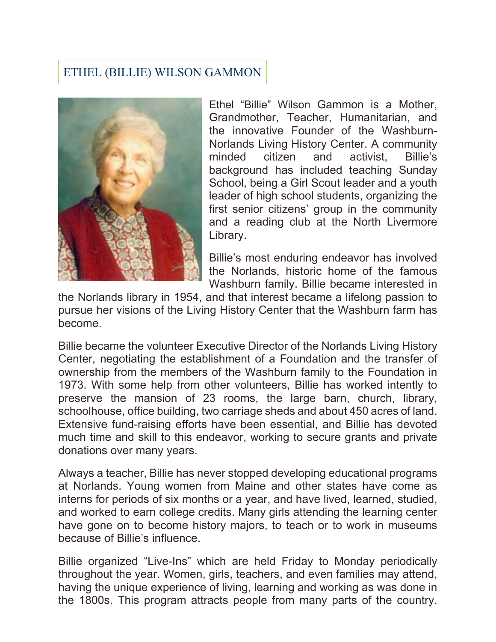## ETHEL (BILLIE) WILSON GAMMON



Ethel "Billie" Wilson Gammon is a Mother, Grandmother, Teacher, Humanitarian, and the innovative Founder of the Washburn-Norlands Living History Center. A community minded citizen and activist, Billie's background has included teaching Sunday School, being a Girl Scout leader and a youth leader of high school students, organizing the first senior citizens' group in the community and a reading club at the North Livermore Library.

Billie's most enduring endeavor has involved the Norlands, historic home of the famous Washburn family. Billie became interested in

the Norlands library in 1954, and that interest became a lifelong passion to pursue her visions of the Living History Center that the Washburn farm has become.

Billie became the volunteer Executive Director of the Norlands Living History Center, negotiating the establishment of a Foundation and the transfer of ownership from the members of the Washburn family to the Foundation in 1973. With some help from other volunteers, Billie has worked intently to preserve the mansion of 23 rooms, the large barn, church, library, schoolhouse, office building, two carriage sheds and about 450 acres of land. Extensive fund-raising efforts have been essential, and Billie has devoted much time and skill to this endeavor, working to secure grants and private donations over many years.

Always a teacher, Billie has never stopped developing educational programs at Norlands. Young women from Maine and other states have come as interns for periods of six months or a year, and have lived, learned, studied, and worked to earn college credits. Many girls attending the learning center have gone on to become history majors, to teach or to work in museums because of Billie's influence.

Billie organized "Live-Ins" which are held Friday to Monday periodically throughout the year. Women, girls, teachers, and even families may attend, having the unique experience of living, learning and working as was done in the 1800s. This program attracts people from many parts of the country.